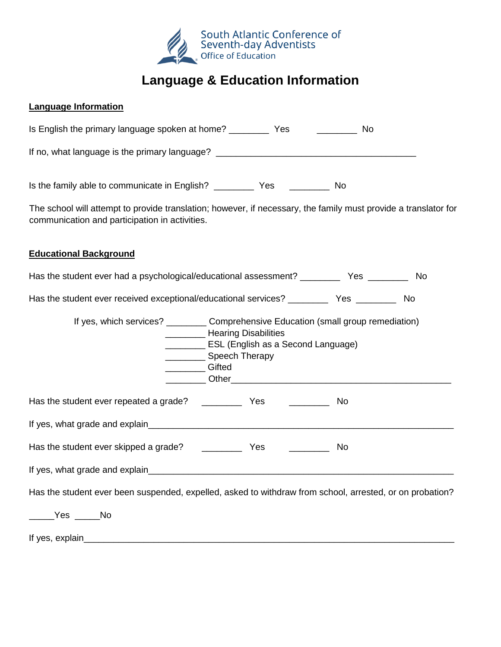

## **Language & Education Information**

## **Language Information**

| Is English the primary language spoken at home? ________                                                                                                          | Yes | No. |
|-------------------------------------------------------------------------------------------------------------------------------------------------------------------|-----|-----|
| If no, what language is the primary language?                                                                                                                     |     |     |
| Is the family able to communicate in English? ___________________________________                                                                                 |     | No. |
| The school will attempt to provide translation; however, if necessary, the family must provide a translator for<br>communication and participation in activities. |     |     |

## **Educational Background**

Has the student ever had a psychological/educational assessment? \_\_\_\_\_\_\_\_\_\_\_\_\_ Yes \_\_\_\_\_\_\_\_\_\_\_\_\_ No

Has the student ever received exceptional/educational services? \_\_\_\_\_\_\_\_\_\_\_\_ Yes \_\_\_\_\_\_\_\_\_\_\_ No

| If yes, which services? ___________ Comprehensive Education (small group remediation)                    | Hearing Disabilities<br>ESL (English as a Second Language)<br>________ Speech Therapy<br><b>Gifted</b> |     |  |  |
|----------------------------------------------------------------------------------------------------------|--------------------------------------------------------------------------------------------------------|-----|--|--|
|                                                                                                          |                                                                                                        | No. |  |  |
|                                                                                                          |                                                                                                        |     |  |  |
|                                                                                                          |                                                                                                        |     |  |  |
|                                                                                                          |                                                                                                        |     |  |  |
| Has the student ever been suspended, expelled, asked to withdraw from school, arrested, or on probation? |                                                                                                        |     |  |  |
| Yes No                                                                                                   |                                                                                                        |     |  |  |
| If yes, explain                                                                                          |                                                                                                        |     |  |  |